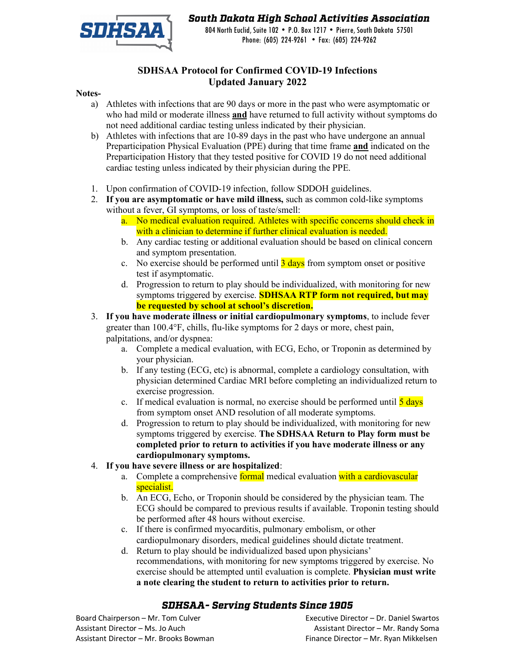

## *South Dakota High School Activities Association*

804 North Euclid, Suite 102 • P.O. Box 1217 • Pierre, South Dakota 57501 Phone: (605) 224-9261 • Fax: (605) 224-9262

## **SDHSAA Protocol for Confirmed COVID-19 Infections Updated January 2022**

#### **Notes-**

- a) Athletes with infections that are 90 days or more in the past who were asymptomatic or who had mild or moderate illness **and** have returned to full activity without symptoms do not need additional cardiac testing unless indicated by their physician.
- b) Athletes with infections that are 10-89 days in the past who have undergone an annual Preparticipation Physical Evaluation (PPE) during that time frame **and** indicated on the Preparticipation History that they tested positive for COVID 19 do not need additional cardiac testing unless indicated by their physician during the PPE.
- 1. Upon confirmation of COVID-19 infection, follow SDDOH guidelines.
- 2. **If you are asymptomatic or have mild illness,** such as common cold-like symptoms without a fever, GI symptoms, or loss of taste/smell:
	- a. No medical evaluation required. Athletes with specific concerns should check in with a clinician to determine if further clinical evaluation is needed.
	- b. Any cardiac testing or additional evaluation should be based on clinical concern and symptom presentation.
	- c. No exercise should be performed until  $\frac{3 \text{ days}}{3}$  from symptom onset or positive test if asymptomatic.
	- d. Progression to return to play should be individualized, with monitoring for new symptoms triggered by exercise. **SDHSAA RTP form not required, but may be requested by school at school's discretion.**
- 3. **If you have moderate illness or initial cardiopulmonary symptoms**, to include fever greater than 100.4°F, chills, flu-like symptoms for 2 days or more, chest pain, palpitations, and/or dyspnea:
	- a. Complete a medical evaluation, with ECG, Echo, or Troponin as determined by your physician.
	- b. If any testing (ECG, etc) is abnormal, complete a cardiology consultation, with physician determined Cardiac MRI before completing an individualized return to exercise progression.
	- c. If medical evaluation is normal, no exercise should be performed until  $\frac{5 \text{ days}}{2}$ from symptom onset AND resolution of all moderate symptoms.
	- d. Progression to return to play should be individualized, with monitoring for new symptoms triggered by exercise. **The SDHSAA Return to Play form must be completed prior to return to activities if you have moderate illness or any cardiopulmonary symptoms.**
- 4. **If you have severe illness or are hospitalized**:
	- a. Complete a comprehensive formal medical evaluation with a cardiovascular specialist.
	- b. An ECG, Echo, or Troponin should be considered by the physician team. The ECG should be compared to previous results if available. Troponin testing should be performed after 48 hours without exercise.
	- c. If there is confirmed myocarditis, pulmonary embolism, or other cardiopulmonary disorders, medical guidelines should dictate treatment.
	- d. Return to play should be individualized based upon physicians' recommendations, with monitoring for new symptoms triggered by exercise. No exercise should be attempted until evaluation is complete. **Physician must write a note clearing the student to return to activities prior to return.**

### *SDHSAA- Serving Students Since 1905*

Assistant Director – Ms. Jo Auch Assistant Director – Mr. Randy Soma Assistant Director – Mr. Brooks Bowman Finance Director – Mr. Ryan Mikkelsen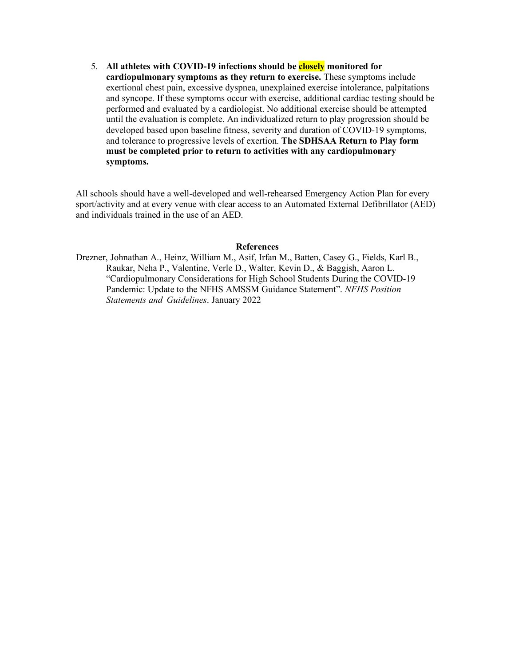5. **All athletes with COVID-19 infections should be closely monitored for cardiopulmonary symptoms as they return to exercise.** These symptoms include exertional chest pain, excessive dyspnea, unexplained exercise intolerance, palpitations and syncope. If these symptoms occur with exercise, additional cardiac testing should be performed and evaluated by a cardiologist. No additional exercise should be attempted until the evaluation is complete. An individualized return to play progression should be developed based upon baseline fitness, severity and duration of COVID-19 symptoms, and tolerance to progressive levels of exertion. **The SDHSAA Return to Play form must be completed prior to return to activities with any cardiopulmonary symptoms.** 

All schools should have a well-developed and well-rehearsed Emergency Action Plan for every sport/activity and at every venue with clear access to an Automated External Defibrillator (AED) and individuals trained in the use of an AED.

#### **References**

Drezner, Johnathan A., Heinz, William M., Asif, Irfan M., Batten, Casey G., Fields, Karl B., Raukar, Neha P., Valentine, Verle D., Walter, Kevin D., & Baggish, Aaron L. "Cardiopulmonary Considerations for High School Students During the COVID-19 Pandemic: Update to the NFHS AMSSM Guidance Statement". *NFHS Position Statements and Guidelines*. January 2022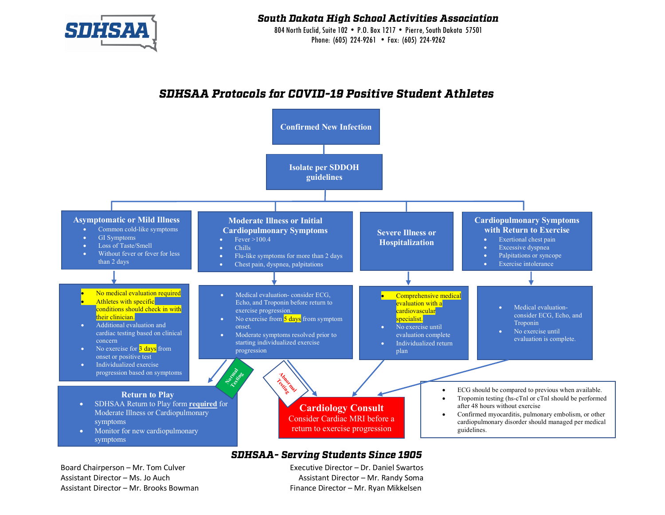

*South Dakota High School Activities Association*

804 North Euclid, Suite 102 • P.O. Box 1217 • Pierre, South Dakota 57501 Phone: (605) 224-9261 • Fax: (605) 224-9262

## *SDHSAA Protocols for COVID-19 Positive Student Athletes*



### *SDHSAA- Serving Students Since 1905*

Board Chairperson – Mr. Tom Culver Executive Director – Dr. Daniel Swartos Assistant Director – Ms. Jo Auch Assistant Director – Mr. Randy Soma Assistant Director – Mr. Brooks Bowman Finance Director – Mr. Ryan Mikkelsen